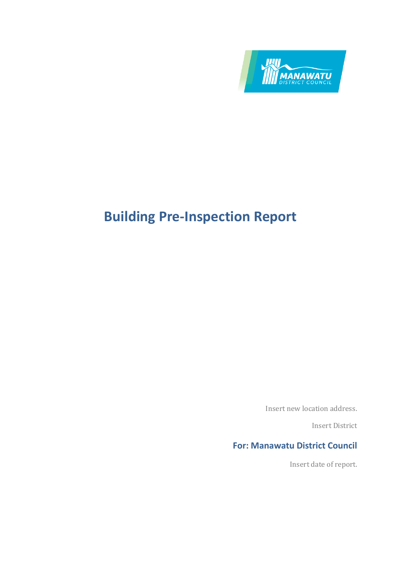

Insert new location address.

Insert District

# **For: Manawatu District Council**

Insert date of report.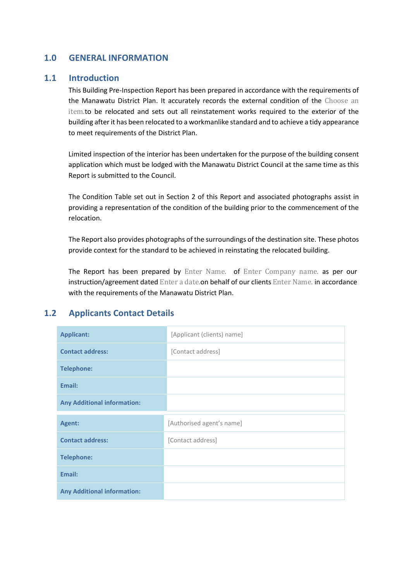### **1.0 GENERAL INFORMATION**

#### **1.1 Introduction**

This Building Pre-Inspection Report has been prepared in accordance with the requirements of the Manawatu District Plan. It accurately records the external condition of the Choose an item.to be relocated and sets out all reinstatement works required to the exterior of the building after it has been relocated to a workmanlike standard and to achieve a tidy appearance to meet requirements of the District Plan.

Limited inspection of the interior has been undertaken for the purpose of the building consent application which must be lodged with the Manawatu District Council at the same time as this Report is submitted to the Council.

The Condition Table set out in Section 2 of this Report and associated photographs assist in providing a representation of the condition of the building prior to the commencement of the relocation.

The Report also provides photographs of the surroundings of the destination site. These photos provide context for the standard to be achieved in reinstating the relocated building.

The Report has been prepared by Enter Name. of Enter Company name. as per our instruction/agreement dated Enter a date.on behalf of our clients Enter Name. in accordance with the requirements of the Manawatu District Plan.

### **1.2 Applicants Contact Details**

| <b>Applicant:</b>                  | [Applicant (clients) name] |
|------------------------------------|----------------------------|
| <b>Contact address:</b>            | [Contact address]          |
| <b>Telephone:</b>                  |                            |
| Email:                             |                            |
| <b>Any Additional information:</b> |                            |
| Agent:                             | [Authorised agent's name]  |
| <b>Contact address:</b>            | [Contact address]          |
| <b>Telephone:</b>                  |                            |
| Email:                             |                            |
| <b>Any Additional information:</b> |                            |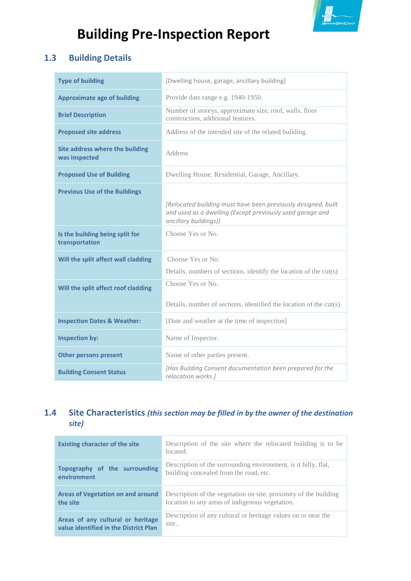

# **1.3 Building Details**

| <b>Type of building</b>                                 | [Dwelling house, garage, ancillary building]                                                                                                        |
|---------------------------------------------------------|-----------------------------------------------------------------------------------------------------------------------------------------------------|
| <b>Approximate age of building</b>                      | Provide date range e.g. 1940-1950.                                                                                                                  |
| <b>Brief Description</b>                                | Number of storeys, approximate size, roof, walls, floor<br>construction, additional features.                                                       |
| <b>Proposed site address</b>                            | Address of the intended site of the related building.                                                                                               |
| <b>Site address where the building</b><br>was inspected | Address                                                                                                                                             |
| <b>Proposed Use of Building</b>                         | Dwelling House, Residential, Garage, Ancillary.                                                                                                     |
| <b>Previous Use of the Buildings</b>                    |                                                                                                                                                     |
|                                                         | [Relocated building must have been previously designed, built<br>and used as a dwelling (Except previously used garage and<br>ancillary buildings)] |
|                                                         |                                                                                                                                                     |
| Is the building being split for<br>transportation       | Choose Yes or No.                                                                                                                                   |
| Will the split affect wall cladding                     | Choose Yes or No.                                                                                                                                   |
|                                                         | Details, numbers of sections, identify the location of the cut(s)                                                                                   |
| Will the split affect roof cladding                     | Choose Yes or No.                                                                                                                                   |
|                                                         | Details, number of sections, identified the location of the cut(s)                                                                                  |
| <b>Inspection Dates &amp; Weather:</b>                  | [Date and weather at the time of inspection]                                                                                                        |
| <b>Inspection by:</b>                                   | Name of Inspector.                                                                                                                                  |
| <b>Other persons present</b>                            | Name of other parties present.                                                                                                                      |

# **1.4 Site Characteristics** *(this section may be filled in by the owner of the destination site)*

| <b>Existing character of the site</b> | Description of the site where the relocated building is to be<br>located. |
|---------------------------------------|---------------------------------------------------------------------------|
| Topography of the surrounding         | Description of the surrounding environment, is it hilly, flat,            |
| environment                           | building concealed from the road, etc.                                    |
| Areas of Vegetation on and around     | Description of the vegetation on site, proximity of the building          |
| the site                              | location to any areas of indigenous vegetation.                           |
| Areas of any cultural or heritage     | Description of any cultural or heritage values on or near the             |
| value identified in the District Plan | site                                                                      |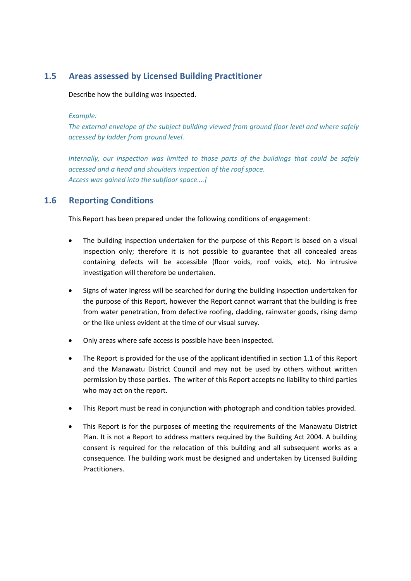### **1.5 Areas assessed by Licensed Building Practitioner**

Describe how the building was inspected.

#### *Example:*

*The external envelope of the subject building viewed from ground floor level and where safely accessed by ladder from ground level.*

*Internally, our inspection was limited to those parts of the buildings that could be safely accessed and a head and shoulders inspection of the roof space. Access was gained into the subfloor space….]*

#### **1.6 Reporting Conditions**

This Report has been prepared under the following conditions of engagement:

- The building inspection undertaken for the purpose of this Report is based on a visual inspection only; therefore it is not possible to guarantee that all concealed areas containing defects will be accessible (floor voids, roof voids, etc). No intrusive investigation will therefore be undertaken.
- Signs of water ingress will be searched for during the building inspection undertaken for the purpose of this Report, however the Report cannot warrant that the building is free from water penetration, from defective roofing, cladding, rainwater goods, rising damp or the like unless evident at the time of our visual survey.
- Only areas where safe access is possible have been inspected.
- The Report is provided for the use of the applicant identified in section 1.1 of this Report and the Manawatu District Council and may not be used by others without written permission by those parties. The writer of this Report accepts no liability to third parties who may act on the report.
- This Report must be read in conjunction with photograph and condition tables provided.
- This Report is for the purposes of meeting the requirements of the Manawatu District Plan. It is not a Report to address matters required by the Building Act 2004. A building consent is required for the relocation of this building and all subsequent works as a consequence. The building work must be designed and undertaken by Licensed Building Practitioners.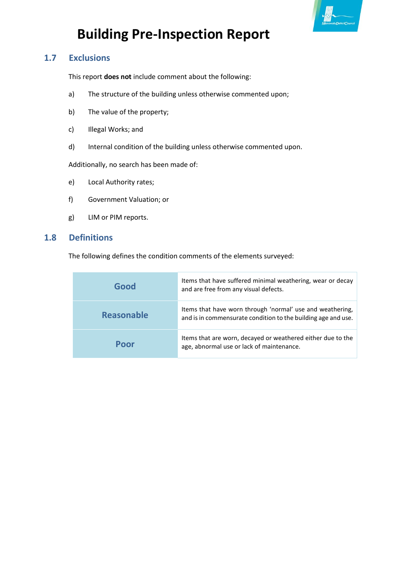

## **1.7 Exclusions**

This report **does not** include comment about the following:

- a) The structure of the building unless otherwise commented upon;
- b) The value of the property;
- c) Illegal Works; and
- d) Internal condition of the building unless otherwise commented upon.

Additionally, no search has been made of:

- e) Local Authority rates;
- f) Government Valuation; or
- g) LIM or PIM reports.

#### **1.8 Definitions**

The following defines the condition comments of the elements surveyed:

| Good              | Items that have suffered minimal weathering, wear or decay<br>and are free from any visual defects.                        |
|-------------------|----------------------------------------------------------------------------------------------------------------------------|
| <b>Reasonable</b> | Items that have worn through 'normal' use and weathering,<br>and is in commensurate condition to the building age and use. |
| Poor              | Items that are worn, decayed or weathered either due to the<br>age, abnormal use or lack of maintenance.                   |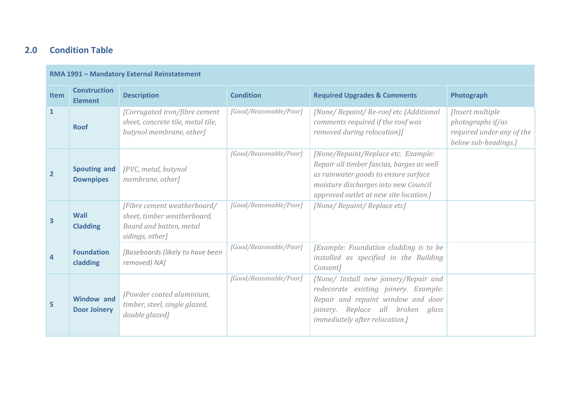# **2.0 Condition Table**

#### **RMA 1991 – Mandatory External Reinstatement**

| <b>Item</b>             | <b>Construction</b>                      | <b>Description</b>                                                                                       | <b>Condition</b>       | <b>Required Upgrades &amp; Comments</b>                                                                                                                                                                    | Photograph                                                                                  |
|-------------------------|------------------------------------------|----------------------------------------------------------------------------------------------------------|------------------------|------------------------------------------------------------------------------------------------------------------------------------------------------------------------------------------------------------|---------------------------------------------------------------------------------------------|
|                         | <b>Element</b>                           |                                                                                                          |                        |                                                                                                                                                                                                            |                                                                                             |
| $\mathbf{1}$            | <b>Roof</b>                              | [Corrugated iron/fibre cement<br>sheet, concrete tile, metal tile,<br>butynol membrane, other]           | [Good/Reasonable/Poor] | [None/ Repaint/ Re-roof etc (Additional<br>comments required if the roof was<br>removed during relocation)]                                                                                                | [Insert multiple]<br>photographs if/as<br>required under any of the<br>below sub-headings.] |
| $\overline{2}$          | <b>Spouting and</b><br><b>Downpipes</b>  | [PVC, metal, butynol]<br>membrane, other]                                                                | [Good/Reasonable/Poor] | [None/Repaint/Replace etc. Example:<br>Repair all timber fascias, barges as well<br>as rainwater goods to ensure surface<br>moisture discharges into new Council<br>approved outlet at new site location.] |                                                                                             |
| $\overline{\mathbf{3}}$ | Wall<br><b>Cladding</b>                  | [Fibre cement weatherboard/<br>sheet, timber weatherboard,<br>Board and batten, metal<br>sidings, other] | [Good/Reasonable/Poor] | [None/ Repaint/ Replace etc]                                                                                                                                                                               |                                                                                             |
| 4                       | <b>Foundation</b><br>cladding            | [Baseboards (likely to have been<br>removed) NA]                                                         | [Good/Reasonable/Poor] | [Example: Foundation cladding is to be<br>installed as specified in the Building<br>Consent]                                                                                                               |                                                                                             |
| 5                       | <b>Window and</b><br><b>Door Joinery</b> | [Powder coated aluminium,<br>timber, steel, single glazed,<br>double glazed]                             | [Good/Reasonable/Poor] | [None/ Install new joinery/Repair and<br>redecorate existing joinery. Example:<br>Repair and repaint window and door<br>joinery. Replace all broken glass<br><i>immediately after relocation.]</i>         |                                                                                             |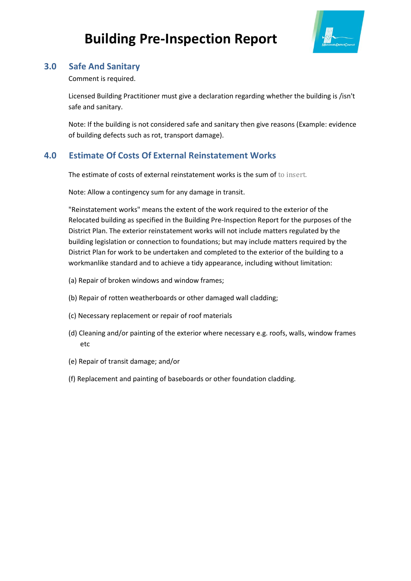

## **3.0 Safe And Sanitary**

Comment is required.

Licensed Building Practitioner must give a declaration regarding whether the building is /isn't safe and sanitary.

Note: If the building is not considered safe and sanitary then give reasons (Example: evidence of building defects such as rot, transport damage).

# **4.0 Estimate Of Costs Of External Reinstatement Works**

The estimate of costs of external reinstatement works is the sum of to insert.

Note: Allow a contingency sum for any damage in transit.

"Reinstatement works" means the extent of the work required to the exterior of the Relocated building as specified in the Building Pre-Inspection Report for the purposes of the District Plan. The exterior reinstatement works will not include matters regulated by the building legislation or connection to foundations; but may include matters required by the District Plan for work to be undertaken and completed to the exterior of the building to a workmanlike standard and to achieve a tidy appearance, including without limitation:

- (a) Repair of broken windows and window frames;
- (b) Repair of rotten weatherboards or other damaged wall cladding;
- (c) Necessary replacement or repair of roof materials
- (d) Cleaning and/or painting of the exterior where necessary e.g. roofs, walls, window frames etc
- (e) Repair of transit damage; and/or
- (f) Replacement and painting of baseboards or other foundation cladding.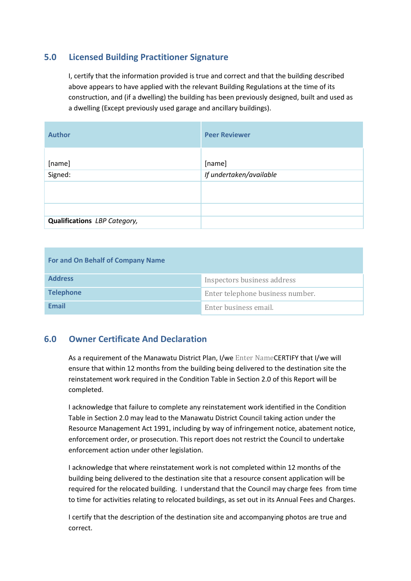## **5.0 Licensed Building Practitioner Signature**

I, certify that the information provided is true and correct and that the building described above appears to have applied with the relevant Building Regulations at the time of its construction, and (if a dwelling) the building has been previously designed, built and used as a dwelling (Except previously used garage and ancillary buildings).

| <b>Author</b>                | <b>Peer Reviewer</b>    |
|------------------------------|-------------------------|
|                              |                         |
| [name]                       | [name]                  |
| Signed:                      | If undertaken/available |
|                              |                         |
|                              |                         |
|                              |                         |
| Qualifications LBP Category, |                         |

| For and On Behalf of Company Name |                                  |  |
|-----------------------------------|----------------------------------|--|
| <b>Address</b>                    | Inspectors business address      |  |
| <b>Telephone</b>                  | Enter telephone business number. |  |
| <b>Fmail</b>                      | Enter business email.            |  |

### **6.0 Owner Certificate And Declaration**

As a requirement of the Manawatu District Plan, I/we Enter NameCERTIFY that I/we will ensure that within 12 months from the building being delivered to the destination site the reinstatement work required in the Condition Table in Section 2.0 of this Report will be completed.

I acknowledge that failure to complete any reinstatement work identified in the Condition Table in Section 2.0 may lead to the Manawatu District Council taking action under the Resource Management Act 1991, including by way of infringement notice, abatement notice, enforcement order, or prosecution. This report does not restrict the Council to undertake enforcement action under other legislation.

I acknowledge that where reinstatement work is not completed within 12 months of the building being delivered to the destination site that a resource consent application will be required for the relocated building. I understand that the Council may charge fees from time to time for activities relating to relocated buildings, as set out in its Annual Fees and Charges.

I certify that the description of the destination site and accompanying photos are true and correct.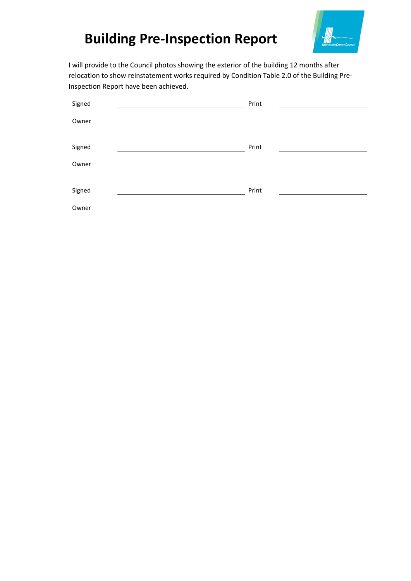

I will provide to the Council photos showing the exterior of the building 12 months after relocation to show reinstatement works required by Condition Table 2.0 of the Building Pre-Inspection Report have been achieved.

| Signed | Print |
|--------|-------|
| Owner  |       |
|        |       |
| Signed | Print |
| Owner  |       |
|        |       |
| Signed | Print |
| Owner  |       |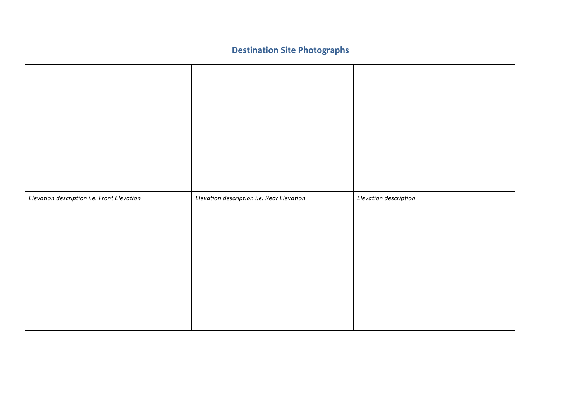# **Destination Site Photographs**

| Elevation description i.e. Front Elevation | Elevation description i.e. Rear Elevation | Elevation description |
|--------------------------------------------|-------------------------------------------|-----------------------|
|                                            |                                           |                       |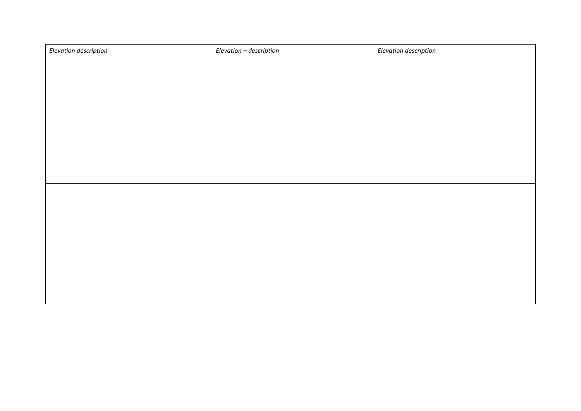| Elevation description | Elevation - description | Elevation description |
|-----------------------|-------------------------|-----------------------|
|                       |                         |                       |
|                       |                         |                       |
|                       |                         |                       |
|                       |                         |                       |
|                       |                         |                       |
|                       |                         |                       |
|                       |                         |                       |
|                       |                         |                       |
|                       |                         |                       |
|                       |                         |                       |
|                       |                         |                       |
|                       |                         |                       |
|                       |                         |                       |
|                       |                         |                       |
|                       |                         |                       |
|                       |                         |                       |
|                       |                         |                       |
|                       |                         |                       |
|                       |                         |                       |
|                       |                         |                       |
|                       |                         |                       |